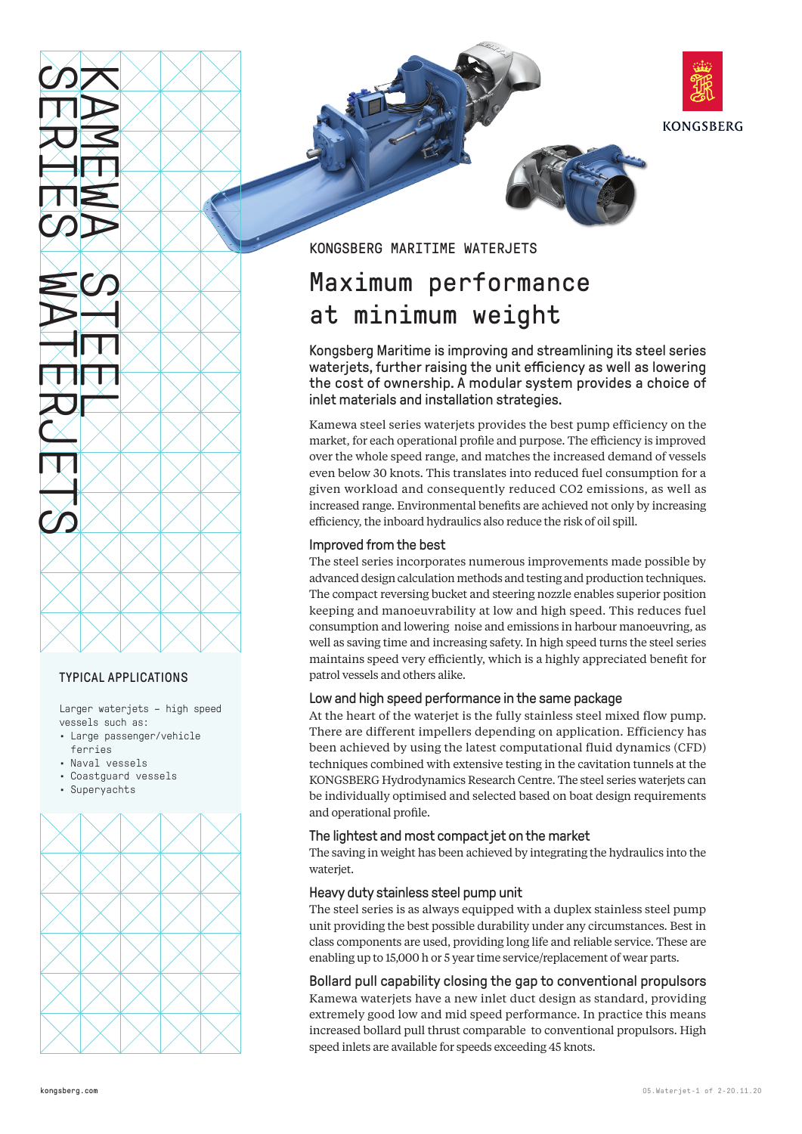



# TYPICAL APPLICATIONS

Larger waterjets – high speed vessels such as:

- Large passenger/vehicle ferries
- Naval vessels
- Coastguard vessels
- Superyachts





KONGSBERG MARITIME WATERJETS

# Maximum performance at minimum weight

Kongsberg Maritime is improving and streamlining its steel series waterjets, further raising the unit efficiency as well as lowering the cost of ownership. A modular system provides a choice of inlet materials and installation strategies.

Kamewa steel series waterjets provides the best pump efficiency on the market, for each operational profile and purpose. The efficiency is improved over the whole speed range, and matches the increased demand of vessels even below 30 knots. This translates into reduced fuel consumption for a given workload and consequently reduced CO2 emissions, as well as increased range. Environmental benefits are achieved not only by increasing efficiency, the inboard hydraulics also reduce the risk of oil spill.

# Improved from the best

The steel series incorporates numerous improvements made possible by advanced design calculation methods and testing and production techniques. The compact reversing bucket and steering nozzle enables superior position keeping and manoeuvrability at low and high speed. This reduces fuel consumption and lowering noise and emissions in harbour manoeuvring, as well as saving time and increasing safety. In high speed turns the steel series maintains speed very efficiently, which is a highly appreciated benefit for patrol vessels and others alike.

# Low and high speed performance in the same package

At the heart of the waterjet is the fully stainless steel mixed flow pump. There are different impellers depending on application. Efficiency has been achieved by using the latest computational fluid dynamics (CFD) techniques combined with extensive testing in the cavitation tunnels at the KONGSBERG Hydrodynamics Research Centre. The steel series waterjets can be individually optimised and selected based on boat design requirements and operational profile.

# The lightest and most compact jet on the market

The saving in weight has been achieved by integrating the hydraulics into the waterjet.

# Heavy duty stainless steel pump unit

The steel series is as always equipped with a duplex stainless steel pump unit providing the best possible durability under any circumstances. Best in class components are used, providing long life and reliable service. These are enabling up to 15,000 h or 5 year time service/replacement of wear parts.

Bollard pull capability closing the gap to conventional propulsors Kamewa waterjets have a new inlet duct design as standard, providing extremely good low and mid speed performance. In practice this means increased bollard pull thrust comparable to conventional propulsors. High speed inlets are available for speeds exceeding 45 knots.